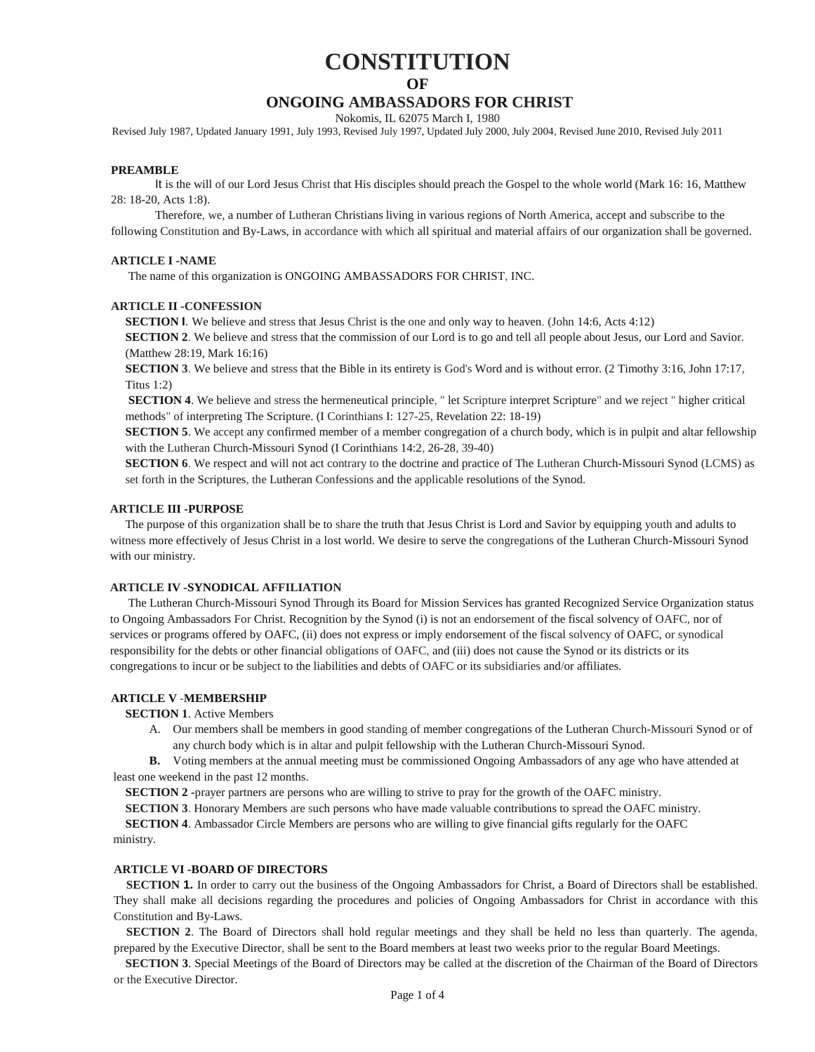# **CONSTITUTION**

# **OF**

# **ONGOING AMBASSADORS FOR CHRIST**

Nokomis, IL 62075 March I, 1980

Revised July 1987, Updated January 1991, July 1993, Revised July 1997, Updated July 2000, July 2004, Revised June 2010, Revised July 2011

### **PREAMBLE**

It is the will of our Lord Jesus Christ that His disciples should preach the Gospel to the whole world (Mark 16: 16, Matthew 28: 18-20, Acts 1:8).

Therefore, we, a number of Lutheran Christians living in various regions of North America, accept and subscribe to the following Constitution and By-Laws, in accordance with which all spiritual and material affairs of our organization shall be governed.

### **ARTICLE I -NAME**

The name of this organization is ONGOING AMBASSADORS FOR CHRIST, INC.

### **ARTICLE II -CONFESSION**

**SECTION I**. We believe and stress that Jesus Christ is the one and only way to heaven. (John 14:6, Acts 4:12) **SECTION 2**. We believe and stress that the commission of our Lord is to go and tell all people about Jesus, our Lord and Savior. (Matthew 28:19, Mark 16:16)

**SECTION 3**. We believe and stress that the Bible in its entirety is God's Word and is without error. (2 Timothy 3:16, John 17:17, Titus 1:2)

**SECTION 4**. We believe and stress the hermeneutical principle, " let Scripture interpret Scripture" and we reject " higher critical methods" of interpreting The Scripture. (I Corinthians I: 127-25, Revelation 22: 18-19)

**SECTION 5**. We accept any confirmed member of a member congregation of a church body, which is in pulpit and altar fellowship with the Lutheran Church-Missouri Synod (I Corinthians 14:2, 26-28, 39-40)

**SECTION 6**. We respect and will not act contrary to the doctrine and practice of The Lutheran Church-Missouri Synod (LCMS) as set forth in the Scriptures, the Lutheran Confessions and the applicable resolutions of the Synod.

### **ARTICLE III -PURPOSE**

The purpose of this organization shall be to share the truth that Jesus Christ is Lord and Savior by equipping youth and adults to witness more effectively of Jesus Christ in a lost world. We desire to serve the congregations of the Lutheran Church-Missouri Synod with our ministry.

### **ARTICLE IV -SYNODICAL AFFILIATION**

The Lutheran Church-Missouri Synod Through its Board for Mission Services has granted Recognized Service Organization status to Ongoing Ambassadors For Christ. Recognition by the Synod (i) is not an endorsement of the fiscal solvency of OAFC, nor of services or programs offered by OAFC, (ii) does not express or imply endorsement of the fiscal solvency of OAFC, or synodical responsibility for the debts or other financial obligations of OAFC, and (iii) does not cause the Synod or its districts or its congregations to incur or be subject to the liabilities and debts of OAFC or its subsidiaries and/or affiliates.

### **ARTICLE V -MEMBERSHIP**

**SECTION 1**. Active Members

A. Our members shall be members in good standing of member congregations of the Lutheran Church-Missouri Synod or of any church body which is in altar and pulpit fellowship with the Lutheran Church-Missouri Synod.

**B.** Voting members at the annual meeting must be commissioned Ongoing Ambassadors of any age who have attended at least one weekend in the past 12 months.

**SECTION 2** -prayer partners are persons who are willing to strive to pray for the growth of the OAFC ministry.

**SECTION 3**. Honorary Members are such persons who have made valuable contributions to spread the OAFC ministry.

**SECTION 4**. Ambassador Circle Members are persons who are willing to give financial gifts regularly for the OAFC

ministry.

### **ARTICLE VI -BOARD OF DIRECTORS**

**SECTION 1.** In order to carry out the business of the Ongoing Ambassadors for Christ, a Board of Directors shall be established. They shall make all decisions regarding the procedures and policies of Ongoing Ambassadors for Christ in accordance with this Constitution and By-Laws.

**SECTION 2**. The Board of Directors shall hold regular meetings and they shall be held no less than quarterly. The agenda, prepared by the Executive Director, shall be sent to the Board members at least two weeks prior to the regular Board Meetings.

**SECTION 3**. Special Meetings of the Board of Directors may be called at the discretion of the Chairman of the Board of Directors or the Executive Director.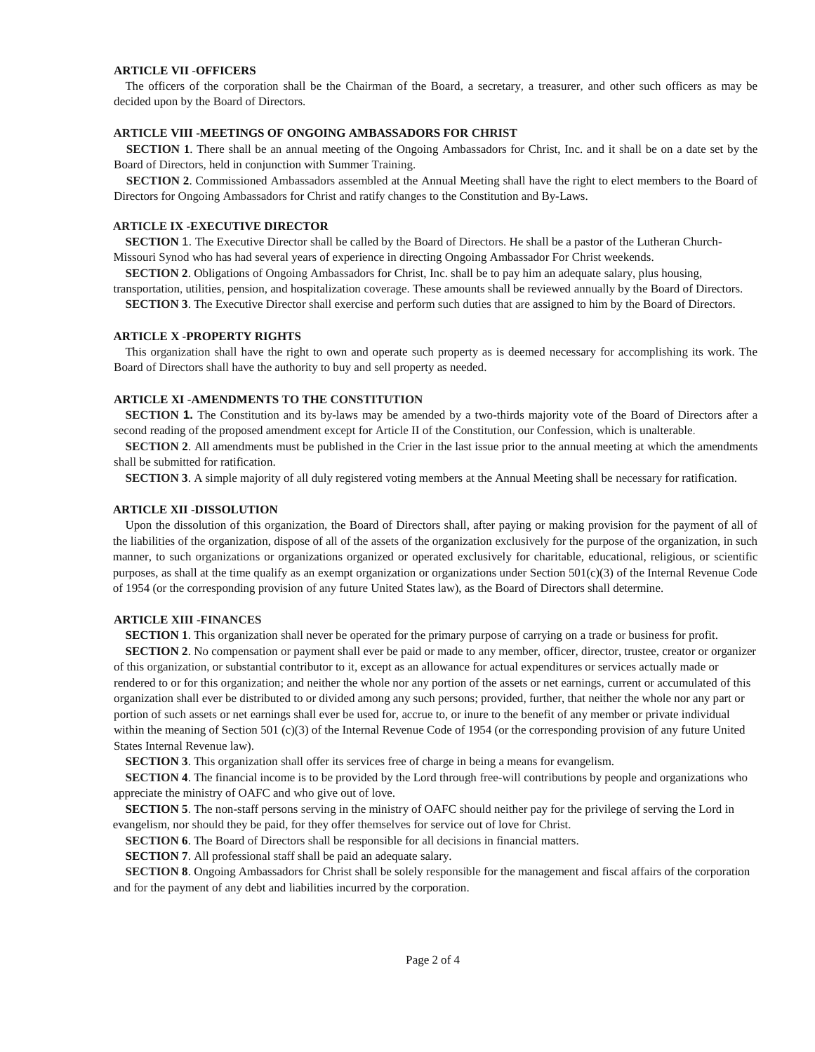### **ARTICLE VII -OFFICERS**

The officers of the corporation shall be the Chairman of the Board, a secretary, a treasurer, and other such officers as may be decided upon by the Board of Directors.

### **ARTICLE VIII** -**MEETINGS OF ONGOING AMBASSADORS FOR CHRIST**

**SECTION 1**. There shall be an annual meeting of the Ongoing Ambassadors for Christ, Inc. and it shall be on a date set by the Board of Directors, held in conjunction with Summer Training.

**SECTION 2**. Commissioned Ambassadors assembled at the Annual Meeting shall have the right to elect members to the Board of Directors for Ongoing Ambassadors for Christ and ratify changes to the Constitution and By-Laws.

### **ARTICLE IX -EXECUTIVE DIRECTOR**

**SECTION** 1. The Executive Director shall be called by the Board of Directors. He shall be a pastor of the Lutheran Church-Missouri Synod who has had several years of experience in directing Ongoing Ambassador For Christ weekends.

**SECTION 2.** Obligations of Ongoing Ambassadors for Christ, Inc. shall be to pay him an adequate salary, plus housing,

transportation, utilities, pension, and hospitalization coverage. These amounts shall be reviewed annually by the Board of Directors.

**SECTION 3**. The Executive Director shall exercise and perform such duties that are assigned to him by the Board of Directors.

### **ARTICLE X -PROPERTY RIGHTS**

This organization shall have the right to own and operate such property as is deemed necessary for accomplishing its work. The Board of Directors shall have the authority to buy and sell property as needed.

### **ARTICLE XI -AMENDMENTS TO THE CONSTITUTION**

**SECTION 1.** The Constitution and its by-laws may be amended by a two-thirds majority vote of the Board of Directors after a second reading of the proposed amendment except for Article II of the Constitution, our Confession, which is unalterable.

**SECTION 2.** All amendments must be published in the Crier in the last issue prior to the annual meeting at which the amendments shall be submitted for ratification.

**SECTION 3**. A simple majority of all duly registered voting members at the Annual Meeting shall be necessary for ratification.

### **ARTICLE XII -DISSOLUTION**

Upon the dissolution of this organization, the Board of Directors shall, after paying or making provision for the payment of all of the liabilities of the organization, dispose of all of the assets of the organization exclusively for the purpose of the organization, in such manner, to such organizations or organizations organized or operated exclusively for charitable, educational, religious, or scientific purposes, as shall at the time qualify as an exempt organization or organizations under Section 501(c)(3) of the Internal Revenue Code of 1954 (or the corresponding provision of any future United States law), as the Board of Directors shall determine.

#### **ARTICLE XIII -FINANCES**

**SECTION 1**. This organization shall never be operated for the primary purpose of carrying on a trade or business for profit.

**SECTION 2**. No compensation or payment shall ever be paid or made to any member, officer, director, trustee, creator or organizer of this organization, or substantial contributor to it, except as an allowance for actual expenditures or services actually made or rendered to or for this organization; and neither the whole nor any portion of the assets or net earnings, current or accumulated of this organization shall ever be distributed to or divided among any such persons; provided, further, that neither the whole nor any part or portion of such assets or net earnings shall ever be used for, accrue to, or inure to the benefit of any member or private individual within the meaning of Section 501 (c)(3) of the Internal Revenue Code of 1954 (or the corresponding provision of any future United States Internal Revenue law).

**SECTION 3.** This organization shall offer its services free of charge in being a means for evangelism.

**SECTION 4**. The financial income is to be provided by the Lord through free-will contributions by people and organizations who appreciate the ministry of OAFC and who give out of love.

**SECTION 5**. The non-staff persons serving in the ministry of OAFC should neither pay for the privilege of serving the Lord in evangelism, nor should they be paid, for they offer themselves for service out of love for Christ.

**SECTION 6**. The Board of Directors shall be responsible for all decisions in financial matters.

**SECTION 7**. All professional staff shall be paid an adequate salary.

**SECTION 8**. Ongoing Ambassadors for Christ shall be solely responsible for the management and fiscal affairs of the corporation and for the payment of any debt and liabilities incurred by the corporation.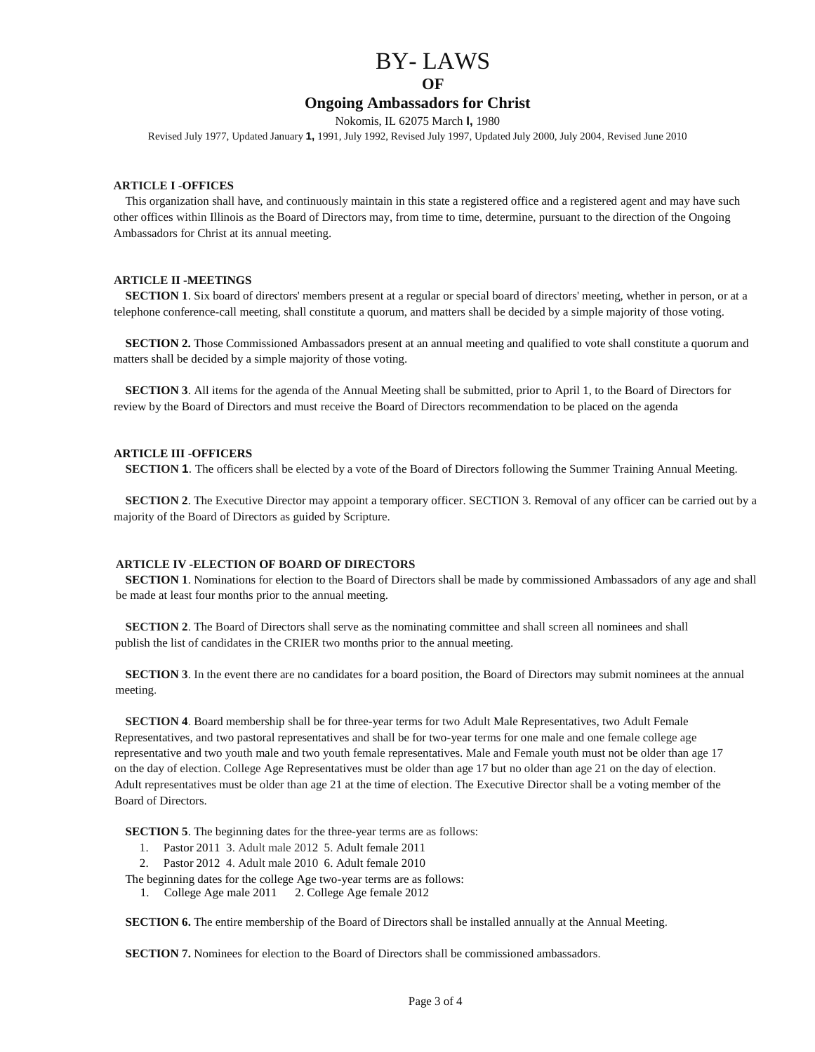# BY- LAWS

**OF**

## **Ongoing Ambassadors for Christ**

Nokomis, IL 62075 March **I,** 1980

Revised July 1977, Updated January **1,** 1991, July 1992, Revised July 1997, Updated July 2000, July 2004, Revised June 2010

### **ARTICLE I -OFFICES**

This organization shall have, and continuously maintain in this state a registered office and a registered agent and may have such other offices within Illinois as the Board of Directors may, from time to time, determine, pursuant to the direction of the Ongoing Ambassadors for Christ at its annual meeting.

### **ARTICLE II -MEETINGS**

**SECTION 1**. Six board of directors' members present at a regular or special board of directors' meeting, whether in person, or at a telephone conference-call meeting, shall constitute a quorum, and matters shall be decided by a simple majority of those voting.

**SECTION 2.** Those Commissioned Ambassadors present at an annual meeting and qualified to vote shall constitute a quorum and matters shall be decided by a simple majority of those voting.

**SECTION 3**. All items for the agenda of the Annual Meeting shall be submitted, prior to April 1, to the Board of Directors for review by the Board of Directors and must receive the Board of Directors recommendation to be placed on the agenda

### **ARTICLE III -OFFICERS**

**SECTION 1**. The officers shall be elected by a vote of the Board of Directors following the Summer Training Annual Meeting.

**SECTION 2**. The Executive Director may appoint a temporary officer. SECTION 3. Removal of any officer can be carried out by a majority of the Board of Directors as guided by Scripture.

### **ARTICLE IV -ELECTION OF BOARD OF DIRECTORS**

**SECTION 1**. Nominations for election to the Board of Directors shall be made by commissioned Ambassadors of any age and shall be made at least four months prior to the annual meeting.

**SECTION 2**. The Board of Directors shall serve as the nominating committee and shall screen all nominees and shall publish the list of candidates in the CRIER two months prior to the annual meeting.

**SECTION 3**. In the event there are no candidates for a board position, the Board of Directors may submit nominees at the annual meeting.

**SECTION 4**. Board membership shall be for three-year terms for two Adult Male Representatives, two Adult Female Representatives, and two pastoral representatives and shall be for two-year terms for one male and one female college age representative and two youth male and two youth female representatives. Male and Female youth must not be older than age 17 on the day of election. College Age Representatives must be older than age 17 but no older than age 21 on the day of election. Adult representatives must be older than age 21 at the time of election. The Executive Director shall be a voting member of the Board of Directors.

**SECTION 5**. The beginning dates for the three-year terms are as follows:

- 1. Pastor 2011 3. Adult male 2012 5. Adult female 2011
- 2. Pastor 2012 4. Adult male 2010 6. Adult female 2010

The beginning dates for the college Age two-year terms are as follows:

1. College Age male 2011 2. College Age female 2012

**SECTION 6.** The entire membership of the Board of Directors shall be installed annually at the Annual Meeting.

**SECTION 7.** Nominees for election to the Board of Directors shall be commissioned ambassadors.